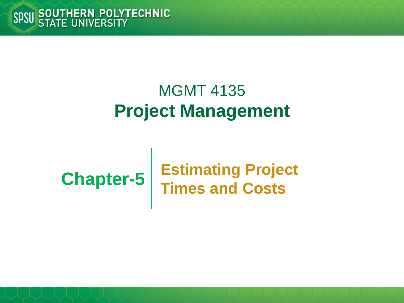#### MGMT 4135 **Project Management**

# **Chapter-5**

#### **Estimating Project Times and Costs**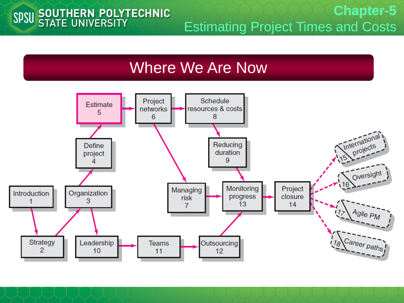# SPSU SOUTHERN POLYTECHNIC

**Chapter-5** Estimating Project Times and Costs

#### Where We Are Now

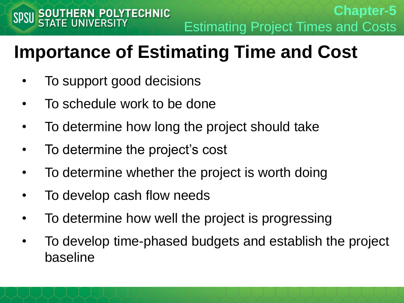# **Importance of Estimating Time and Cost**

- To support good decisions
- To schedule work to be done
- To determine how long the project should take
- To determine the project's cost
- To determine whether the project is worth doing
- To develop cash flow needs
- To determine how well the project is progressing
- To develop time-phased budgets and establish the project baseline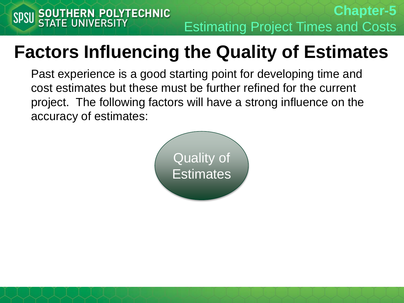#### **Factors Influencing the Quality of Estimates**

Past experience is a good starting point for developing time and cost estimates but these must be further refined for the current project. The following factors will have a strong influence on the accuracy of estimates:

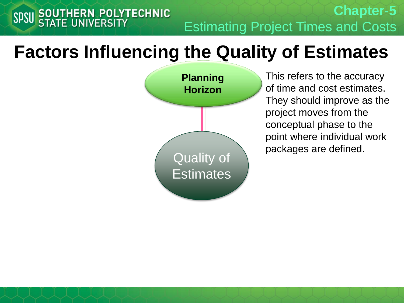**Chapter-5** SPSU SOUTHERN POLYTECHNIC Estimating Project Times and Costs

#### **Factors Influencing the Quality of Estimates**

**Planning Horizon** Quality of **Estimates** 

This refers to the accuracy of time and cost estimates. They should improve as the project moves from the conceptual phase to the point where individual work packages are defined.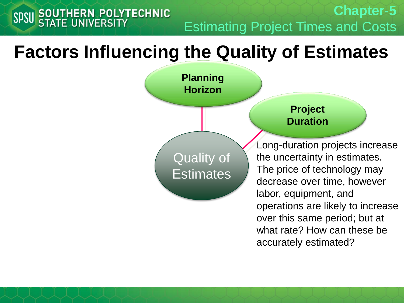**Chapter-5** Estimating Project Times and Costs

#### **Factors Influencing the Quality of Estimates**

SPSU SOUTHERN POLYTECHNIC

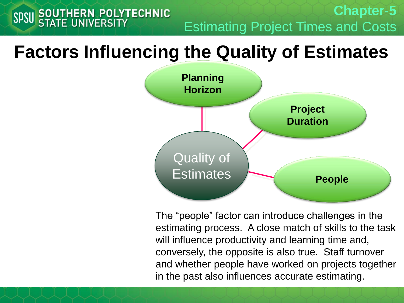**Chapter-5** Estimating Project Times and Costs

#### **Factors Influencing the Quality of Estimates**

**SOUTHERN POLYTECHNIC**<br>STATE UNIVERSITY

**SPSU** 



The "people" factor can introduce challenges in the estimating process. A close match of skills to the task will influence productivity and learning time and, conversely, the opposite is also true. Staff turnover and whether people have worked on projects together in the past also influences accurate estimating.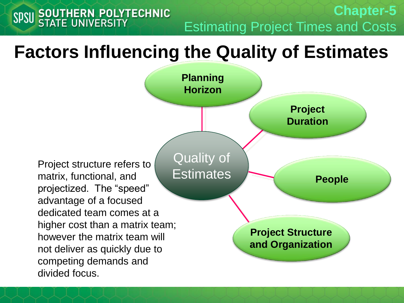Estimating Project Times and Costs

**Chapter-5**

#### **Factors Influencing the Quality of Estimates**

SPSU SOUTHERN POLYTECHNIC

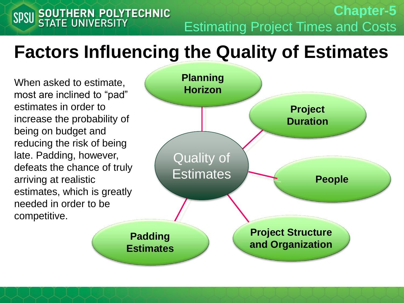# **Factors Influencing the Quality of Estimates**

When asked to estimate, most are inclined to "pad" estimates in order to increase the probability of being on budget and reducing the risk of being late. Padding, however, defeats the chance of truly arriving at realistic estimates, which is greatly needed in order to be competitive.

SPSU SOUTHERN POLYTECHNIC



Estimating Project Times and Costs

**Chapter-5**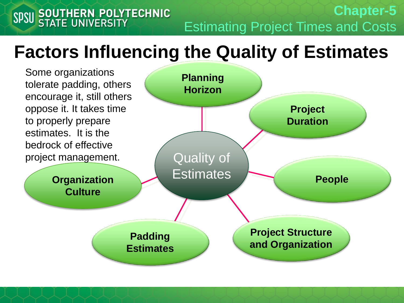**Chapter-5** SPSU SOUTHERN POLYTECHNIC Estimating Project Times and Costs

#### **Factors Influencing the Quality of Estimates**

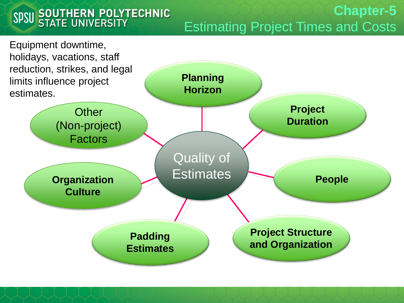# SPSU SOUTHERN POLYTECHNIC

#### **Chapter-5** Estimating Project Times and Costs

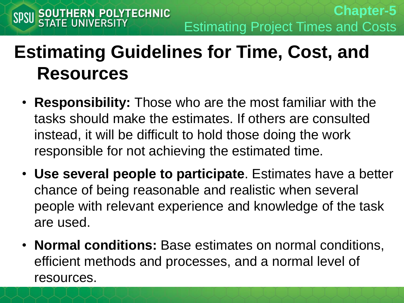# **Estimating Guidelines for Time, Cost, and Resources**

- **Responsibility:** Those who are the most familiar with the tasks should make the estimates. If others are consulted instead, it will be difficult to hold those doing the work responsible for not achieving the estimated time.
- **Use several people to participate**. Estimates have a better chance of being reasonable and realistic when several people with relevant experience and knowledge of the task are used.
- **Normal conditions:** Base estimates on normal conditions, efficient methods and processes, and a normal level of resources.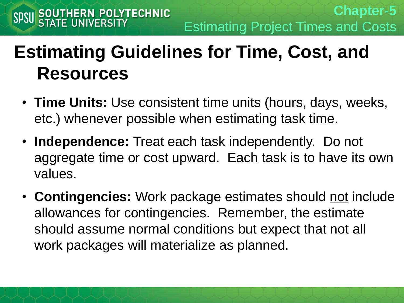# **Estimating Guidelines for Time, Cost, and Resources**

- **Time Units:** Use consistent time units (hours, days, weeks, etc.) whenever possible when estimating task time.
- **Independence:** Treat each task independently. Do not aggregate time or cost upward. Each task is to have its own values.
- **Contingencies:** Work package estimates should not include allowances for contingencies. Remember, the estimate should assume normal conditions but expect that not all work packages will materialize as planned.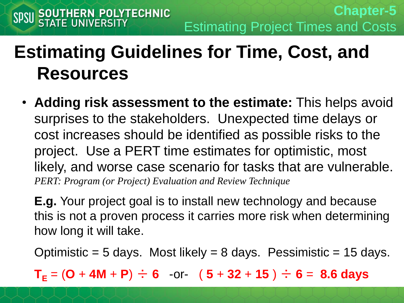# **Estimating Guidelines for Time, Cost, and Resources**

• **Adding risk assessment to the estimate:** This helps avoid surprises to the stakeholders. Unexpected time delays or cost increases should be identified as possible risks to the project. Use a PERT time estimates for optimistic, most likely, and worse case scenario for tasks that are vulnerable. *PERT: Program (or Project) Evaluation and Review Technique*

**E.g.** Your project goal is to install new technology and because this is not a proven process it carries more risk when determining how long it will take.

Optimistic = 5 days. Most likely = 8 days. Pessimistic = 15 days.

 $T_F = (O + 4M + P) \div 6$  or-  $(5 + 32 + 15) \div 6 = 8.6$  days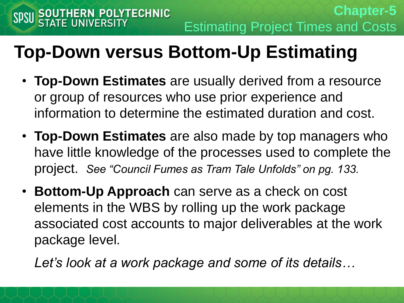# **Top-Down versus Bottom-Up Estimating**

- **Top-Down Estimates** are usually derived from a resource or group of resources who use prior experience and information to determine the estimated duration and cost.
- **Top-Down Estimates** are also made by top managers who have little knowledge of the processes used to complete the project. *See "Council Fumes as Tram Tale Unfolds" on pg. 133.*
- **Bottom-Up Approach** can serve as a check on cost elements in the WBS by rolling up the work package associated cost accounts to major deliverables at the work package level.

*Let's look at a work package and some of its details…*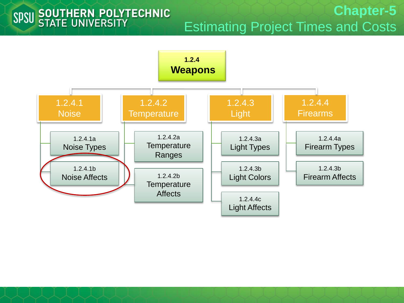#### SPSU SOUTHERN POLYTECHNIC

**Chapter-5** Estimating Project Times and Costs

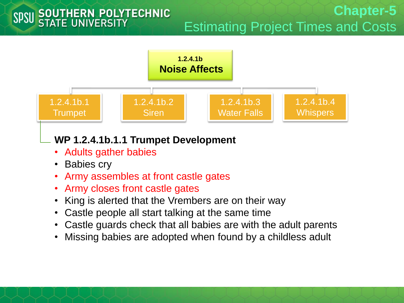

- **Babies cry**
- Army assembles at front castle gates
- Army closes front castle gates
- King is alerted that the Vrembers are on their way
- Castle people all start talking at the same time
- Castle guards check that all babies are with the adult parents
- Missing babies are adopted when found by a childless adult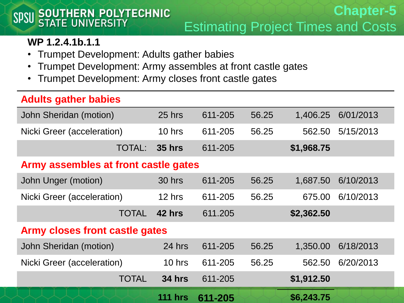# SPSU SOUTHERN POLYTECHNIC

#### **Chapter-5** Estimating Project Times and Costs

#### **WP 1.2.4.1b.1.1**

- Trumpet Development: Adults gather babies
- Trumpet Development: Army assembles at front castle gates
- Trumpet Development: Army closes front castle gates

#### **Adults gather babies**

| $\tilde{\phantom{a}}$                |                |         |       |            |           |  |
|--------------------------------------|----------------|---------|-------|------------|-----------|--|
| John Sheridan (motion)               | 25 hrs         | 611-205 | 56.25 | 1,406.25   | 6/01/2013 |  |
| Nicki Greer (acceleration)           | 10 hrs         | 611-205 | 56.25 | 562.50     | 5/15/2013 |  |
| <b>TOTAL:</b>                        | <b>35 hrs</b>  | 611-205 |       | \$1,968.75 |           |  |
| Army assembles at front castle gates |                |         |       |            |           |  |
| John Unger (motion)                  | 30 hrs         | 611-205 | 56.25 | 1,687.50   | 6/10/2013 |  |
| Nicki Greer (acceleration)           | 12 hrs         | 611-205 | 56.25 | 675.00     | 6/10/2013 |  |
| <b>TOTAL</b>                         | 42 hrs         | 611.205 |       | \$2,362.50 |           |  |
| Army closes front castle gates       |                |         |       |            |           |  |
| John Sheridan (motion)               | 24 hrs         | 611-205 | 56.25 | 1,350.00   | 6/18/2013 |  |
| Nicki Greer (acceleration)           | 10 hrs         | 611-205 | 56.25 | 562.50     | 6/20/2013 |  |
| <b>TOTAL</b>                         | <b>34 hrs</b>  | 611-205 |       | \$1,912.50 |           |  |
|                                      | <b>111 hrs</b> | 611-205 |       | \$6,243.75 |           |  |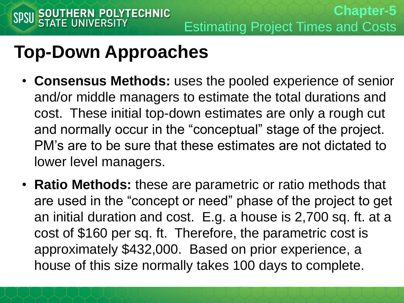- **Consensus Methods:** uses the pooled experience of senior and/or middle managers to estimate the total durations and cost. These initial top-down estimates are only a rough cut and normally occur in the "conceptual" stage of the project. PM's are to be sure that these estimates are not dictated to lower level managers.
- **Ratio Methods:** these are parametric or ratio methods that are used in the "concept or need" phase of the project to get an initial duration and cost. E.g. a house is 2,700 sq. ft. at a cost of \$160 per sq. ft. Therefore, the parametric cost is approximately \$432,000. Based on prior experience, a house of this size normally takes 100 days to complete.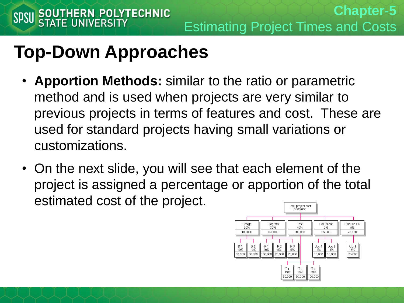- **Apportion Methods:** similar to the ratio or parametric method and is used when projects are very similar to previous projects in terms of features and cost. These are used for standard projects having small variations or customizations.
- On the next slide, you will see that each element of the project is assigned a percentage or apportion of the total estimated cost of the project. Total project cost

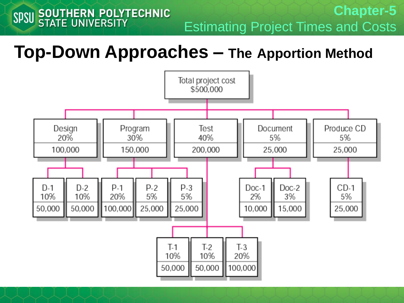**Chapter-5** Estimating Project Times and Costs

#### **Top-Down Approaches – The Apportion Method**

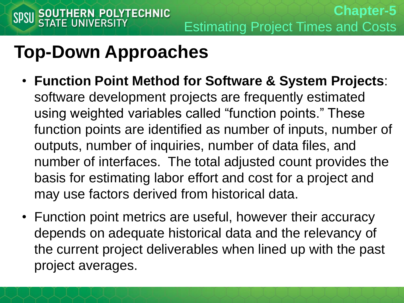- **Function Point Method for Software & System Projects**: software development projects are frequently estimated using weighted variables called "function points." These function points are identified as number of inputs, number of outputs, number of inquiries, number of data files, and number of interfaces. The total adjusted count provides the basis for estimating labor effort and cost for a project and may use factors derived from historical data.
- Function point metrics are useful, however their accuracy depends on adequate historical data and the relevancy of the current project deliverables when lined up with the past project averages.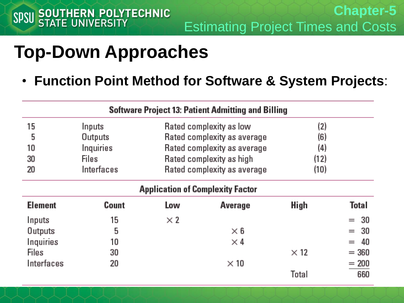• **Function Point Method for Software & System Projects**:

|                                         |            |                                    | <b>Software Project 13: Patient Admitting and Billing</b> |             |              |  |
|-----------------------------------------|------------|------------------------------------|-----------------------------------------------------------|-------------|--------------|--|
| 15                                      | Inputs     | (2)<br>Rated complexity as low     |                                                           |             |              |  |
| 5                                       | Outputs    | Rated complexity as average<br>(6) |                                                           |             |              |  |
| 10                                      | Inquiries  |                                    | Rated complexity as average                               | (4)         |              |  |
| 30                                      | Files      | Rated complexity as high<br>(12)   |                                                           |             |              |  |
| 20                                      | Interfaces |                                    | Rated complexity as average                               | (10)        |              |  |
| <b>Application of Complexity Factor</b> |            |                                    |                                                           |             |              |  |
| <b>Element</b>                          | Count      | Low                                | Average                                                   | High        | <b>Total</b> |  |
| Inputs                                  | 15         | $\times 2$                         |                                                           |             | $= 30$       |  |
| Outputs                                 | 5          |                                    | $\times$ 6                                                |             | 30<br>$=$    |  |
| Inquiries                               | 10         |                                    | $\times 4$                                                |             | 40<br>$=$    |  |
| <b>Files</b>                            | 30         |                                    |                                                           | $\times$ 12 | $= 360$      |  |
| Interfaces                              | 20         |                                    | $\times$ 10                                               |             | $= 200$      |  |
|                                         |            |                                    |                                                           | Total       | 660          |  |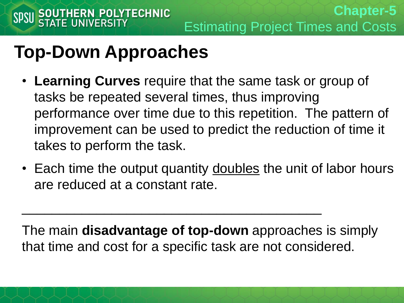- **Learning Curves** require that the same task or group of tasks be repeated several times, thus improving performance over time due to this repetition. The pattern of improvement can be used to predict the reduction of time it takes to perform the task.
- Each time the output quantity doubles the unit of labor hours are reduced at a constant rate.

The main **disadvantage of top-down** approaches is simply that time and cost for a specific task are not considered.

 $\frac{1}{2}$  ,  $\frac{1}{2}$  ,  $\frac{1}{2}$  ,  $\frac{1}{2}$  ,  $\frac{1}{2}$  ,  $\frac{1}{2}$  ,  $\frac{1}{2}$  ,  $\frac{1}{2}$  ,  $\frac{1}{2}$  ,  $\frac{1}{2}$  ,  $\frac{1}{2}$  ,  $\frac{1}{2}$  ,  $\frac{1}{2}$  ,  $\frac{1}{2}$  ,  $\frac{1}{2}$  ,  $\frac{1}{2}$  ,  $\frac{1}{2}$  ,  $\frac{1}{2}$  ,  $\frac{1$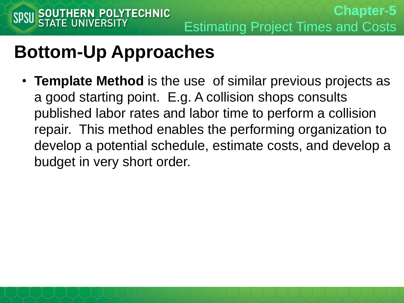#### **Bottom-Up Approaches**

• **Template Method** is the use of similar previous projects as a good starting point. E.g. A collision shops consults published labor rates and labor time to perform a collision repair. This method enables the performing organization to develop a potential schedule, estimate costs, and develop a budget in very short order.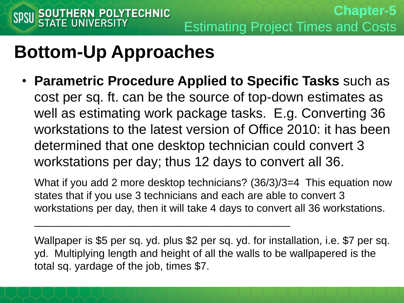#### **Bottom-Up Approaches**

• **Parametric Procedure Applied to Specific Tasks** such as cost per sq. ft. can be the source of top-down estimates as well as estimating work package tasks. E.g. Converting 36 workstations to the latest version of Office 2010: it has been determined that one desktop technician could convert 3 workstations per day; thus 12 days to convert all 36.

What if you add 2 more desktop technicians? (36/3)/3=4 This equation now states that if you use 3 technicians and each are able to convert 3 workstations per day, then it will take 4 days to convert all 36 workstations.

 $\mathcal{L}_\text{max}$  , and the contract of the contract of the contract of the contract of the contract of the contract of the contract of the contract of the contract of the contract of the contract of the contract of the contr

Wallpaper is \$5 per sq. yd. plus \$2 per sq. yd. for installation, i.e. \$7 per sq. yd. Multiplying length and height of all the walls to be wallpapered is the total sq. yardage of the job, times \$7.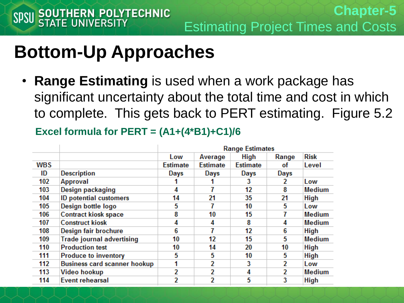#### **Bottom-Up Approaches**

• **Range Estimating** is used when a work package has significant uncertainty about the total time and cost in which to complete. This gets back to PERT estimating. Figure 5.2

**Excel formula for PERT = (A1+(4\*B1)+C1)/6**

|            |                                     | <b>Range Estimates</b> |                 |                 |       |               |
|------------|-------------------------------------|------------------------|-----------------|-----------------|-------|---------------|
|            |                                     | Low                    | Average         | <b>High</b>     | Range | <b>Risk</b>   |
| <b>WBS</b> |                                     | <b>Estimate</b>        | <b>Estimate</b> | <b>Estimate</b> | οt    | Level         |
| ID         | <b>Description</b>                  | Days                   | Days            | Days            | Days  |               |
| 102        | Approval                            |                        |                 | 3               | 2     | Low           |
| 103        | Design packaging                    | 4                      | 7               | 12              | 8     | Medium        |
| 104        | <b>ID potential customers</b>       | 14                     | 21              | 35              | 21    | <b>High</b>   |
| 105        | Design bottle logo                  | 5                      | 7               | 10              | 5     | Low           |
| 106        | <b>Contract kiosk space</b>         | 8                      | 10              | 15              | 7     | <b>Medium</b> |
| 107        | <b>Construct kiosk</b>              | 4                      | 4               | 8               | 4     | <b>Medium</b> |
| 108        | Design fair brochure                | 6                      | 7               | 12              | 6     | <b>High</b>   |
| 109        | <b>Trade journal advertising</b>    | 10                     | 12              | 15              | 5     | <b>Medium</b> |
| 110        | <b>Production test</b>              | 10                     | 14              | 20              | 10    | <b>High</b>   |
| 111        | <b>Produce to inventory</b>         | 5                      | 5               | 10              | 5     | <b>High</b>   |
| 112        | <b>Business card scanner hookup</b> |                        | $\overline{2}$  | 3               | 2     | Low           |
| 113        | Video hookup                        | 2                      | 2               | 4               | 2     | <b>Medium</b> |
| 114        | <b>Event rehearsal</b>              | 2                      | 2               | 5               | 3     | <b>High</b>   |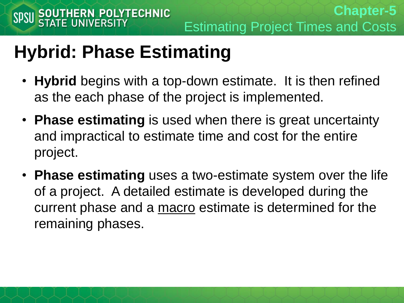### **Hybrid: Phase Estimating**

- **Hybrid** begins with a top-down estimate. It is then refined as the each phase of the project is implemented.
- **Phase estimating** is used when there is great uncertainty and impractical to estimate time and cost for the entire project.
- **Phase estimating** uses a two-estimate system over the life of a project. A detailed estimate is developed during the current phase and a macro estimate is determined for the remaining phases.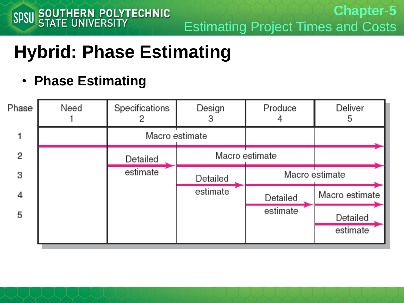# **Hybrid: Phase Estimating**

• **Phase Estimating**

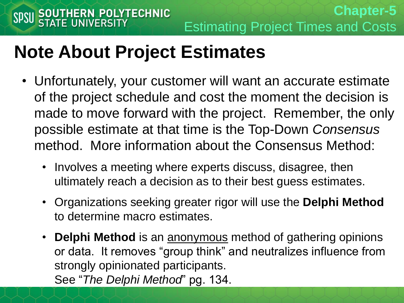#### **Note About Project Estimates**

- Unfortunately, your customer will want an accurate estimate of the project schedule and cost the moment the decision is made to move forward with the project. Remember, the only possible estimate at that time is the Top-Down *Consensus* method. More information about the Consensus Method:
	- Involves a meeting where experts discuss, disagree, then ultimately reach a decision as to their best guess estimates.
	- Organizations seeking greater rigor will use the **Delphi Method**  to determine macro estimates.
	- **Delphi Method** is an anonymous method of gathering opinions or data. It removes "group think" and neutralizes influence from strongly opinionated participants. See "*The Delphi Method*" pg. 134.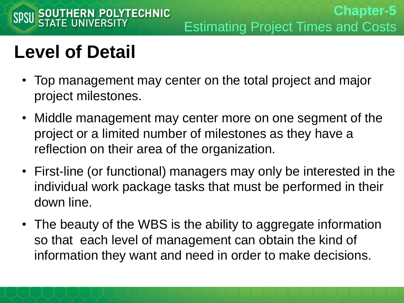# **Level of Detail**

- Top management may center on the total project and major project milestones.
- Middle management may center more on one segment of the project or a limited number of milestones as they have a reflection on their area of the organization.
- First-line (or functional) managers may only be interested in the individual work package tasks that must be performed in their down line.
- The beauty of the WBS is the ability to aggregate information so that each level of management can obtain the kind of information they want and need in order to make decisions.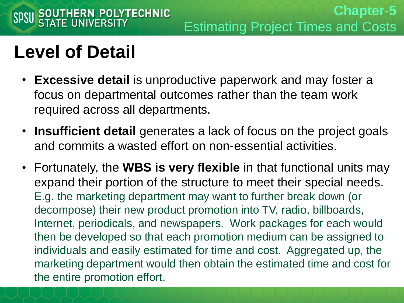#### **Level of Detail**

SPSU SOUTHERN POLYTECHNIC

- **Excessive detail** is unproductive paperwork and may foster a focus on departmental outcomes rather than the team work required across all departments.
- **Insufficient detail** generates a lack of focus on the project goals and commits a wasted effort on non-essential activities.
- Fortunately, the **WBS is very flexible** in that functional units may expand their portion of the structure to meet their special needs. E.g. the marketing department may want to further break down (or decompose) their new product promotion into TV, radio, billboards, Internet, periodicals, and newspapers. Work packages for each would then be developed so that each promotion medium can be assigned to individuals and easily estimated for time and cost. Aggregated up, the marketing department would then obtain the estimated time and cost for the entire promotion effort.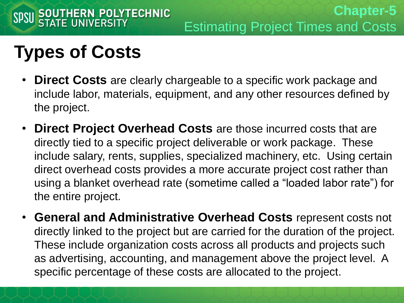# **Types of Costs**

- **Direct Costs** are clearly chargeable to a specific work package and include labor, materials, equipment, and any other resources defined by the project.
- **Direct Project Overhead Costs** are those incurred costs that are directly tied to a specific project deliverable or work package. These include salary, rents, supplies, specialized machinery, etc. Using certain direct overhead costs provides a more accurate project cost rather than using a blanket overhead rate (sometime called a "loaded labor rate") for the entire project.
- **General and Administrative Overhead Costs** represent costs not directly linked to the project but are carried for the duration of the project. These include organization costs across all products and projects such as advertising, accounting, and management above the project level. A specific percentage of these costs are allocated to the project.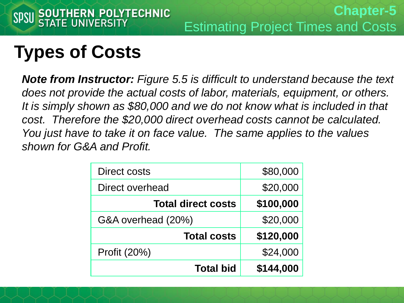# **Types of Costs**

*Note from Instructor: Figure 5.5 is difficult to understand because the text does not provide the actual costs of labor, materials, equipment, or others. It is simply shown as \$80,000 and we do not know what is included in that cost. Therefore the \$20,000 direct overhead costs cannot be calculated. You just have to take it on face value. The same applies to the values shown for G&A and Profit.*

| Direct costs              | \$80,000  |
|---------------------------|-----------|
| Direct overhead           | \$20,000  |
| <b>Total direct costs</b> | \$100,000 |
| G&A overhead (20%)        | \$20,000  |
| <b>Total costs</b>        | \$120,000 |
| Profit (20%)              | \$24,000  |
| <b>Total bid</b>          | \$144,000 |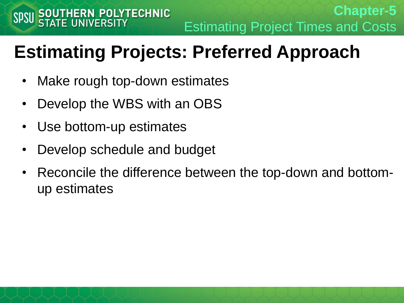**Chapter-5** Estimating Project Times and Costs

# **Estimating Projects: Preferred Approach**

- Make rough top-down estimates
- Develop the WBS with an OBS
- Use bottom-up estimates
- Develop schedule and budget
- Reconcile the difference between the top-down and bottomup estimates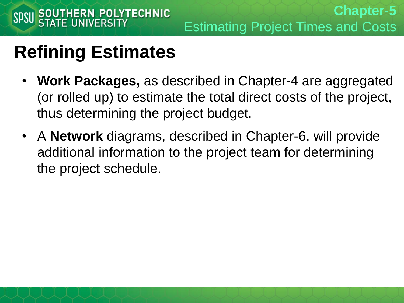- **Work Packages,** as described in Chapter-4 are aggregated (or rolled up) to estimate the total direct costs of the project, thus determining the project budget.
- A **Network** diagrams, described in Chapter-6, will provide additional information to the project team for determining the project schedule.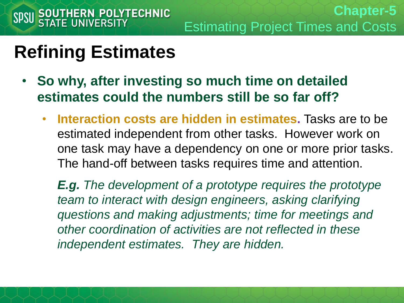- **So why, after investing so much time on detailed estimates could the numbers still be so far off?**
	- **Interaction costs are hidden in estimates.** Tasks are to be estimated independent from other tasks. However work on one task may have a dependency on one or more prior tasks. The hand-off between tasks requires time and attention.

*E.g. The development of a prototype requires the prototype team to interact with design engineers, asking clarifying questions and making adjustments; time for meetings and other coordination of activities are not reflected in these independent estimates. They are hidden.*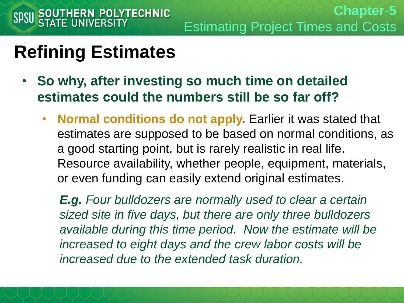- **So why, after investing so much time on detailed estimates could the numbers still be so far off?**
	- **Normal conditions do not apply.** Earlier it was stated that estimates are supposed to be based on normal conditions, as a good starting point, but is rarely realistic in real life. Resource availability, whether people, equipment, materials, or even funding can easily extend original estimates.

*E.g. Four bulldozers are normally used to clear a certain sized site in five days, but there are only three bulldozers available during this time period. Now the estimate will be increased to eight days and the crew labor costs will be increased due to the extended task duration.*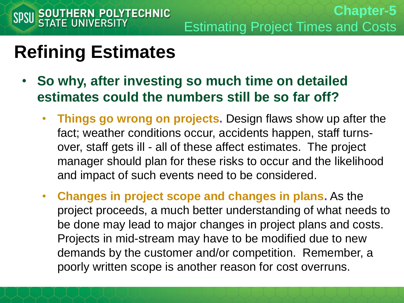- **So why, after investing so much time on detailed estimates could the numbers still be so far off?**
	- **Things go wrong on projects.** Design flaws show up after the fact; weather conditions occur, accidents happen, staff turnsover, staff gets ill - all of these affect estimates. The project manager should plan for these risks to occur and the likelihood and impact of such events need to be considered.
	- **Changes in project scope and changes in plans.** As the project proceeds, a much better understanding of what needs to be done may lead to major changes in project plans and costs. Projects in mid-stream may have to be modified due to new demands by the customer and/or competition. Remember, a poorly written scope is another reason for cost overruns.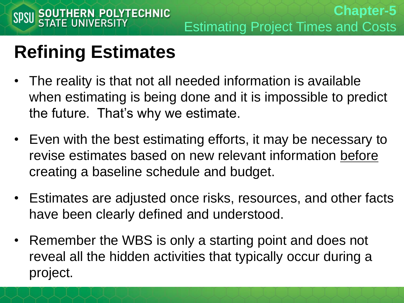- The reality is that not all needed information is available when estimating is being done and it is impossible to predict the future. That's why we estimate.
- Even with the best estimating efforts, it may be necessary to revise estimates based on new relevant information before creating a baseline schedule and budget.
- Estimates are adjusted once risks, resources, and other facts have been clearly defined and understood.
- Remember the WBS is only a starting point and does not reveal all the hidden activities that typically occur during a project.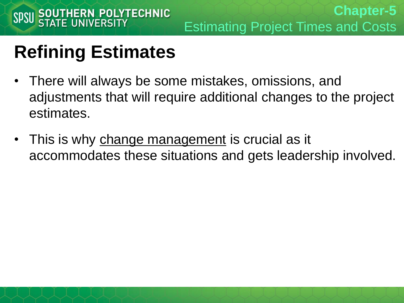- There will always be some mistakes, omissions, and adjustments that will require additional changes to the project estimates.
- This is why change management is crucial as it accommodates these situations and gets leadership involved.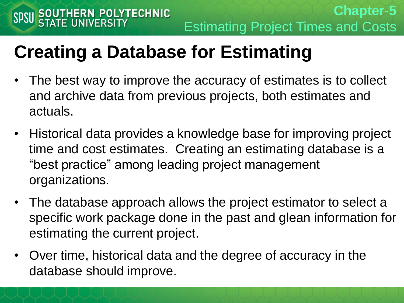# **Creating a Database for Estimating**

- The best way to improve the accuracy of estimates is to collect and archive data from previous projects, both estimates and actuals.
- Historical data provides a knowledge base for improving project time and cost estimates. Creating an estimating database is a "best practice" among leading project management organizations.
- The database approach allows the project estimator to select a specific work package done in the past and glean information for estimating the current project.
- Over time, historical data and the degree of accuracy in the database should improve.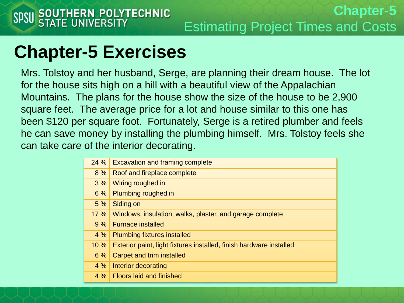#### **Chapter-5 Exercises**

Mrs. Tolstoy and her husband, Serge, are planning their dream house. The lot for the house sits high on a hill with a beautiful view of the Appalachian Mountains. The plans for the house show the size of the house to be 2,900 square feet. The average price for a lot and house similar to this one has been \$120 per square foot. Fortunately, Serge is a retired plumber and feels he can save money by installing the plumbing himself. Mrs. Tolstoy feels she can take care of the interior decorating.

| 24 % | <b>Excavation and framing complete</b>                              |
|------|---------------------------------------------------------------------|
| 8%   | Roof and fireplace complete                                         |
| 3%   | Wiring roughed in                                                   |
| 6%   | Plumbing roughed in                                                 |
| 5%   | Siding on                                                           |
| 17%  | Windows, insulation, walks, plaster, and garage complete            |
| 9%   | <b>Furnace installed</b>                                            |
| 4%   | <b>Plumbing fixtures installed</b>                                  |
| 10 % | Exterior paint, light fixtures installed, finish hardware installed |
| 6%   | Carpet and trim installed                                           |
| 4%   | Interior decorating                                                 |
| 4%   | <b>Floors laid and finished</b>                                     |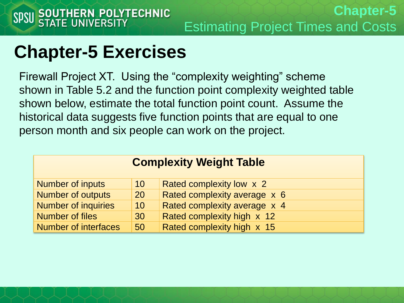#### **Chapter-5 Exercises**

Firewall Project XT. Using the "complexity weighting" scheme shown in Table 5.2 and the function point complexity weighted table shown below, estimate the total function point count. Assume the historical data suggests five function points that are equal to one person month and six people can work on the project.

| <b>Complexity Weight Table</b> |           |                              |  |  |  |
|--------------------------------|-----------|------------------------------|--|--|--|
| <b>Number of inputs</b>        | 10        | Rated complexity low x 2     |  |  |  |
| <b>Number of outputs</b>       | <b>20</b> | Rated complexity average x 6 |  |  |  |
| Number of inquiries            | 10        | Rated complexity average x 4 |  |  |  |
| Number of files                | 30        | Rated complexity high x 12   |  |  |  |
| <b>Number of interfaces</b>    | 50        | Rated complexity high x 15   |  |  |  |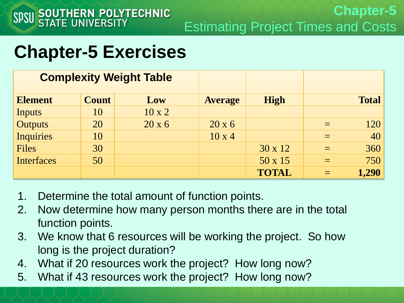**Chapter-5** Estimating Project Times and Costs

#### **Chapter-5 Exercises**

| <b>Complexity Weight Table</b> |              |               |                |                |              |
|--------------------------------|--------------|---------------|----------------|----------------|--------------|
| <b>Element</b>                 | <b>Count</b> | Low           | <b>Average</b> | <b>High</b>    | <b>Total</b> |
| Inputs                         | 10           | $10 \times 2$ |                |                |              |
| <b>Outputs</b>                 | 20           | $20 \times 6$ | $20 \times 6$  |                | 120          |
| <b>Inquiries</b>               | 10           |               | $10 \times 4$  |                | 40           |
| <b>Files</b>                   | 30           |               |                | $30 \times 12$ | 360          |
| <b>Interfaces</b>              | 50           |               |                | 50 x 15        | 750          |
|                                |              |               |                | <b>TOTAL</b>   | 1,290        |

- 1. Determine the total amount of function points.
- 2. Now determine how many person months there are in the total function points.
- 3. We know that 6 resources will be working the project. So how long is the project duration?
- 4. What if 20 resources work the project? How long now?
- 5. What if 43 resources work the project? How long now?